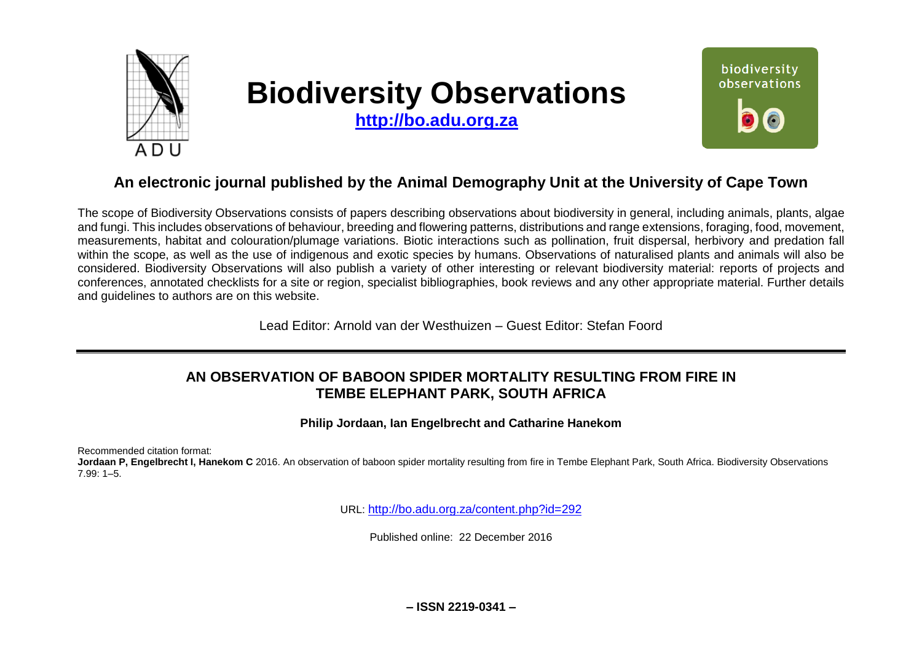

# **Biodiversity Observations**

**[http://bo.adu.org.za](http://bo.adu.org.za/)**



## **An electronic journal published by the Animal Demography Unit at the University of Cape Town**

The scope of Biodiversity Observations consists of papers describing observations about biodiversity in general, including animals, plants, algae and fungi. This includes observations of behaviour, breeding and flowering patterns, distributions and range extensions, foraging, food, movement, measurements, habitat and colouration/plumage variations. Biotic interactions such as pollination, fruit dispersal, herbivory and predation fall within the scope, as well as the use of indigenous and exotic species by humans. Observations of naturalised plants and animals will also be considered. Biodiversity Observations will also publish a variety of other interesting or relevant biodiversity material: reports of projects and conferences, annotated checklists for a site or region, specialist bibliographies, book reviews and any other appropriate material. Further details and guidelines to authors are on this website.

Lead Editor: Arnold van der Westhuizen – Guest Editor: Stefan Foord

## **AN OBSERVATION OF BABOON SPIDER MORTALITY RESULTING FROM FIRE IN TEMBE ELEPHANT PARK, SOUTH AFRICA**

**Philip Jordaan, Ian Engelbrecht and Catharine Hanekom**

Recommended citation format:

**Jordaan P, Engelbrecht I, Hanekom C** 2016. An observation of baboon spider mortality resulting from fire in Tembe Elephant Park, South Africa. Biodiversity Observations 7.99: 1–5.

URL: <http://bo.adu.org.za/content.php?id=292>

Published online: 22 December 2016

**– ISSN 2219-0341 –**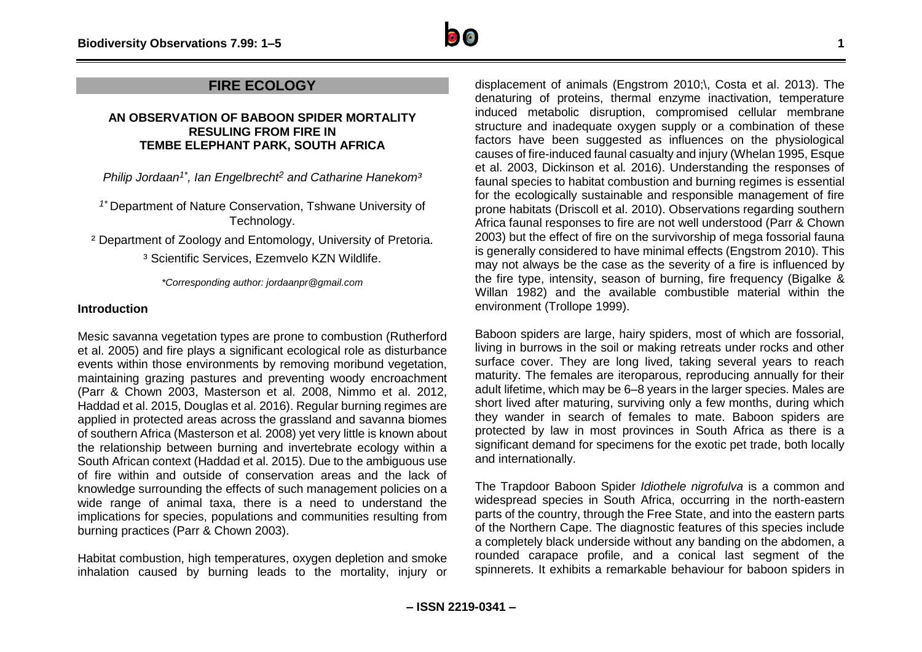### **FIRE ECOLOGY**

#### **AN OBSERVATION OF BABOON SPIDER MORTALITY RESULING FROM FIRE IN TEMBE ELEPHANT PARK, SOUTH AFRICA**

*Philip Jordaan1\* , Ian Engelbrecht <sup>2</sup> and Catharine Hanekom³*

*1\** Department of Nature Conservation, Tshwane University of Technology.

² Department of Zoology and Entomology, University of Pretoria.

<sup>3</sup> Scientific Services, Ezemvelo KZN Wildlife.

*\*Corresponding author: jordaanpr@gmail.com*

#### **Introduction**

Mesic savanna vegetation types are prone to combustion (Rutherford et al. 2005) and fire plays a significant ecological role as disturbance events within those environments by removing moribund vegetation, maintaining grazing pastures and preventing woody encroachment (Parr & Chown 2003, Masterson et al. 2008, Nimmo et al. 2012, Haddad et al. 2015, Douglas et al. 2016). Regular burning regimes are applied in protected areas across the grassland and savanna biomes of southern Africa (Masterson et al*.* 2008) yet very little is known about the relationship between burning and invertebrate ecology within a South African context (Haddad et al. 2015). Due to the ambiguous use of fire within and outside of conservation areas and the lack of knowledge surrounding the effects of such management policies on a wide range of animal taxa, there is a need to understand the implications for species, populations and communities resulting from burning practices (Parr & Chown 2003).

Habitat combustion, high temperatures, oxygen depletion and smoke inhalation caused by burning leads to the mortality, injury or

displacement of animals (Engstrom 2010;\, Costa et al. 2013). The denaturing of proteins, thermal enzyme inactivation, temperature induced metabolic disruption, compromised cellular membrane structure and inadequate oxygen supply or a combination of these factors have been suggested as influences on the physiological causes of fire-induced faunal casualty and injury (Whelan 1995, Esque et al. 2003, Dickinson et al*.* 2016). Understanding the responses of faunal species to habitat combustion and burning regimes is essential for the ecologically sustainable and responsible management of fire prone habitats (Driscoll et al. 2010). Observations regarding southern Africa faunal responses to fire are not well understood (Parr & Chown 2003) but the effect of fire on the survivorship of mega fossorial fauna is generally considered to have minimal effects (Engstrom 2010). This may not always be the case as the severity of a fire is influenced by the fire type, intensity, season of burning, fire frequency (Bigalke & Willan 1982) and the available combustible material within the environment (Trollope 1999).

Baboon spiders are large, hairy spiders, most of which are fossorial, living in burrows in the soil or making retreats under rocks and other surface cover. They are long lived, taking several years to reach maturity. The females are iteroparous, reproducing annually for their adult lifetime, which may be 6–8 years in the larger species. Males are short lived after maturing, surviving only a few months, during which they wander in search of females to mate. Baboon spiders are protected by law in most provinces in South Africa as there is a significant demand for specimens for the exotic pet trade, both locally and internationally.

The Trapdoor Baboon Spider *Idiothele nigrofulva* is a common and widespread species in South Africa, occurring in the north-eastern parts of the country, through the Free State, and into the eastern parts of the Northern Cape. The diagnostic features of this species include a completely black underside without any banding on the abdomen, a rounded carapace profile, and a conical last segment of the spinnerets. It exhibits a remarkable behaviour for baboon spiders in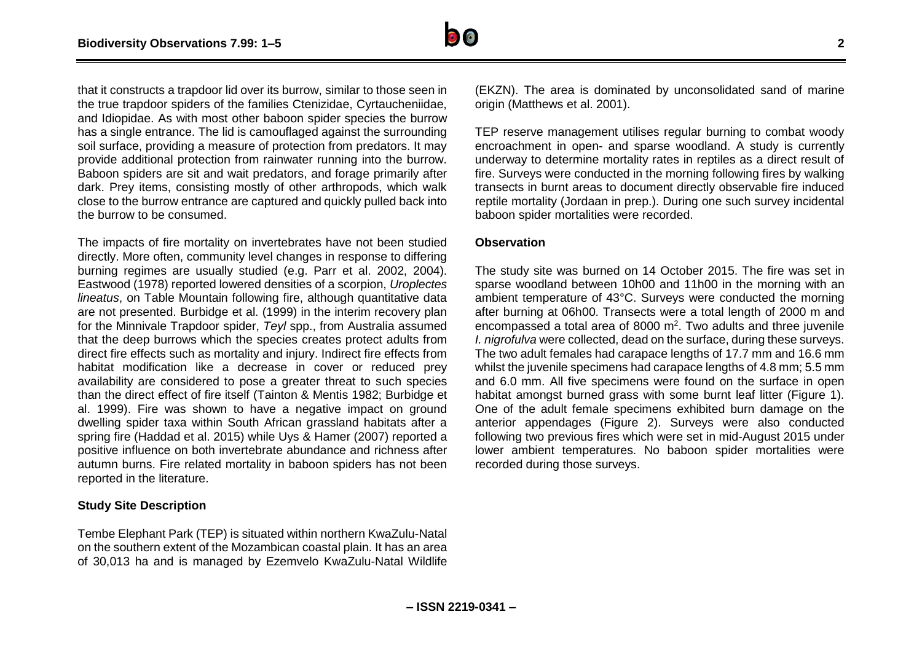

that it constructs a trapdoor lid over its burrow, similar to those seen in the true trapdoor spiders of the families Ctenizidae, Cyrtaucheniidae, and Idiopidae. As with most other baboon spider species the burrow has a single entrance. The lid is camouflaged against the surrounding soil surface, providing a measure of protection from predators. It may provide additional protection from rainwater running into the burrow. Baboon spiders are sit and wait predators, and forage primarily after dark. Prey items, consisting mostly of other arthropods, which walk close to the burrow entrance are captured and quickly pulled back into the burrow to be consumed.

The impacts of fire mortality on invertebrates have not been studied directly. More often, community level changes in response to differing burning regimes are usually studied (e.g. Parr et al. 2002, 2004). Eastwood (1978) reported lowered densities of a scorpion, *Uroplectes lineatus*, on Table Mountain following fire, although quantitative data are not presented. Burbidge et al. (1999) in the interim recovery plan for the Minnivale Trapdoor spider, *Teyl* spp., from Australia assumed that the deep burrows which the species creates protect adults from direct fire effects such as mortality and injury. Indirect fire effects from habitat modification like a decrease in cover or reduced prey availability are considered to pose a greater threat to such species than the direct effect of fire itself (Tainton & Mentis 1982; Burbidge et al. 1999). Fire was shown to have a negative impact on ground dwelling spider taxa within South African grassland habitats after a spring fire (Haddad et al. 2015) while Uys & Hamer (2007) reported a positive influence on both invertebrate abundance and richness after autumn burns. Fire related mortality in baboon spiders has not been reported in the literature.

#### **Study Site Description**

Tembe Elephant Park (TEP) is situated within northern KwaZulu-Natal on the southern extent of the Mozambican coastal plain. It has an area of 30,013 ha and is managed by Ezemvelo KwaZulu-Natal Wildlife

(EKZN). The area is dominated by unconsolidated sand of marine origin (Matthews et al. 2001).

TEP reserve management utilises regular burning to combat woody encroachment in open- and sparse woodland. A study is currently underway to determine mortality rates in reptiles as a direct result of fire. Surveys were conducted in the morning following fires by walking transects in burnt areas to document directly observable fire induced reptile mortality (Jordaan in prep.). During one such survey incidental baboon spider mortalities were recorded.

#### **Observation**

The study site was burned on 14 October 2015. The fire was set in sparse woodland between 10h00 and 11h00 in the morning with an ambient temperature of 43°C. Surveys were conducted the morning after burning at 06h00. Transects were a total length of 2000 m and encompassed a total area of 8000  $m^2$ . Two adults and three juvenile *I. nigrofulva* were collected, dead on the surface, during these surveys. The two adult females had carapace lengths of 17.7 mm and 16.6 mm whilst the juvenile specimens had carapace lengths of 4.8 mm; 5.5 mm and 6.0 mm. All five specimens were found on the surface in open habitat amongst burned grass with some burnt leaf litter (Figure 1). One of the adult female specimens exhibited burn damage on the anterior appendages (Figure 2). Surveys were also conducted following two previous fires which were set in mid-August 2015 under lower ambient temperatures. No baboon spider mortalities were recorded during those surveys.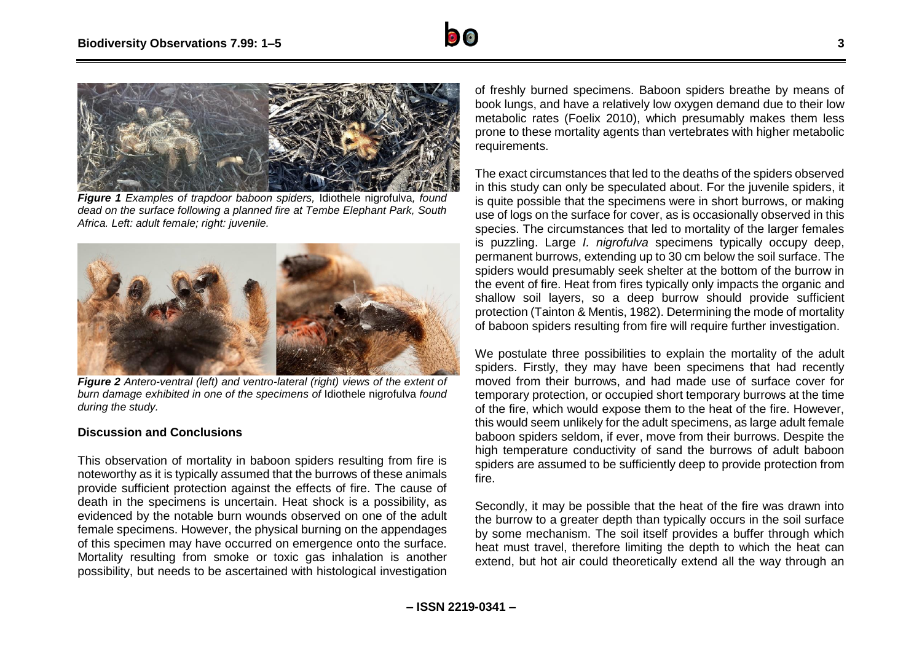



*Figure 1 Examples of trapdoor baboon spiders,* Idiothele nigrofulva*, found dead on the surface following a planned fire at Tembe Elephant Park, South Africa. Left: adult female; right: juvenile.*



*Figure 2 Antero-ventral (left) and ventro-lateral (right) views of the extent of burn damage exhibited in one of the specimens of* Idiothele nigrofulva *found during the study.*

#### **Discussion and Conclusions**

This observation of mortality in baboon spiders resulting from fire is noteworthy as it is typically assumed that the burrows of these animals provide sufficient protection against the effects of fire. The cause of death in the specimens is uncertain. Heat shock is a possibility, as evidenced by the notable burn wounds observed on one of the adult female specimens. However, the physical burning on the appendages of this specimen may have occurred on emergence onto the surface. Mortality resulting from smoke or toxic gas inhalation is another possibility, but needs to be ascertained with histological investigation

of freshly burned specimens. Baboon spiders breathe by means of book lungs, and have a relatively low oxygen demand due to their low metabolic rates (Foelix 2010), which presumably makes them less prone to these mortality agents than vertebrates with higher metabolic requirements.

The exact circumstances that led to the deaths of the spiders observed in this study can only be speculated about. For the juvenile spiders, it is quite possible that the specimens were in short burrows, or making use of logs on the surface for cover, as is occasionally observed in this species. The circumstances that led to mortality of the larger females is puzzling. Large *I. nigrofulva* specimens typically occupy deep, permanent burrows, extending up to 30 cm below the soil surface. The spiders would presumably seek shelter at the bottom of the burrow in the event of fire. Heat from fires typically only impacts the organic and shallow soil layers, so a deep burrow should provide sufficient protection (Tainton & Mentis, 1982). Determining the mode of mortality of baboon spiders resulting from fire will require further investigation.

We postulate three possibilities to explain the mortality of the adult spiders. Firstly, they may have been specimens that had recently moved from their burrows, and had made use of surface cover for temporary protection, or occupied short temporary burrows at the time of the fire, which would expose them to the heat of the fire. However, this would seem unlikely for the adult specimens, as large adult female baboon spiders seldom, if ever, move from their burrows. Despite the high temperature conductivity of sand the burrows of adult baboon spiders are assumed to be sufficiently deep to provide protection from fire.

Secondly, it may be possible that the heat of the fire was drawn into the burrow to a greater depth than typically occurs in the soil surface by some mechanism. The soil itself provides a buffer through which heat must travel, therefore limiting the depth to which the heat can extend, but hot air could theoretically extend all the way through an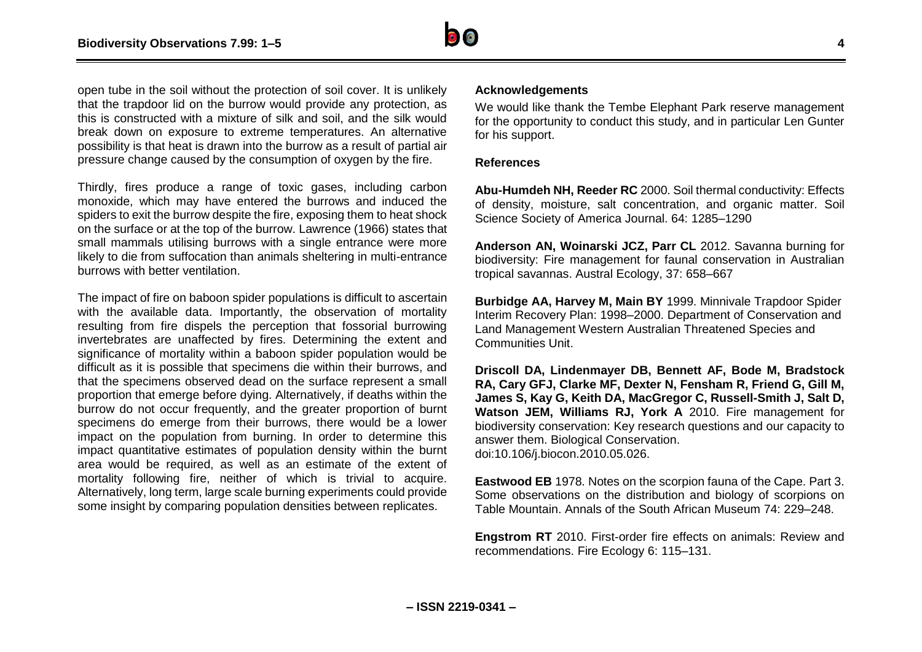

open tube in the soil without the protection of soil cover. It is unlikely that the trapdoor lid on the burrow would provide any protection, as this is constructed with a mixture of silk and soil, and the silk would break down on exposure to extreme temperatures. An alternative possibility is that heat is drawn into the burrow as a result of partial air pressure change caused by the consumption of oxygen by the fire.

Thirdly, fires produce a range of toxic gases, including carbon monoxide, which may have entered the burrows and induced the spiders to exit the burrow despite the fire, exposing them to heat shock on the surface or at the top of the burrow. Lawrence (1966) states that small mammals utilising burrows with a single entrance were more likely to die from suffocation than animals sheltering in multi-entrance burrows with better ventilation.

The impact of fire on baboon spider populations is difficult to ascertain with the available data. Importantly, the observation of mortality resulting from fire dispels the perception that fossorial burrowing invertebrates are unaffected by fires. Determining the extent and significance of mortality within a baboon spider population would be difficult as it is possible that specimens die within their burrows, and that the specimens observed dead on the surface represent a small proportion that emerge before dying. Alternatively, if deaths within the burrow do not occur frequently, and the greater proportion of burnt specimens do emerge from their burrows, there would be a lower impact on the population from burning. In order to determine this impact quantitative estimates of population density within the burnt area would be required, as well as an estimate of the extent of mortality following fire, neither of which is trivial to acquire. Alternatively, long term, large scale burning experiments could provide some insight by comparing population densities between replicates.

#### **Acknowledgements**

We would like thank the Tembe Elephant Park reserve management for the opportunity to conduct this study, and in particular Len Gunter for his support.

#### **References**

**Abu-Humdeh NH, Reeder RC** 2000. Soil thermal conductivity: Effects of density, moisture, salt concentration, and organic matter. Soil Science Society of America Journal. 64: 1285–1290

**Anderson AN, Woinarski JCZ, Parr CL** 2012. Savanna burning for biodiversity: Fire management for faunal conservation in Australian tropical savannas. Austral Ecology, 37: 658–667

**Burbidge AA, Harvey M, Main BY** 1999. Minnivale Trapdoor Spider Interim Recovery Plan: 1998–2000. Department of Conservation and Land Management Western Australian Threatened Species and Communities Unit.

**Driscoll DA, Lindenmayer DB, Bennett AF, Bode M, Bradstock RA, Cary GFJ, Clarke MF, Dexter N, Fensham R, Friend G, Gill M, James S, Kay G, Keith DA, MacGregor C, Russell-Smith J, Salt D, Watson JEM, Williams RJ, York A** 2010. Fire management for biodiversity conservation: Key research questions and our capacity to answer them. Biological Conservation. doi:10.106/j.biocon.2010.05.026.

**Eastwood EB** 1978. Notes on the scorpion fauna of the Cape. Part 3. Some observations on the distribution and biology of scorpions on Table Mountain. Annals of the South African Museum 74: 229–248.

**Engstrom RT** 2010. First-order fire effects on animals: Review and recommendations. Fire Ecology 6: 115–131.